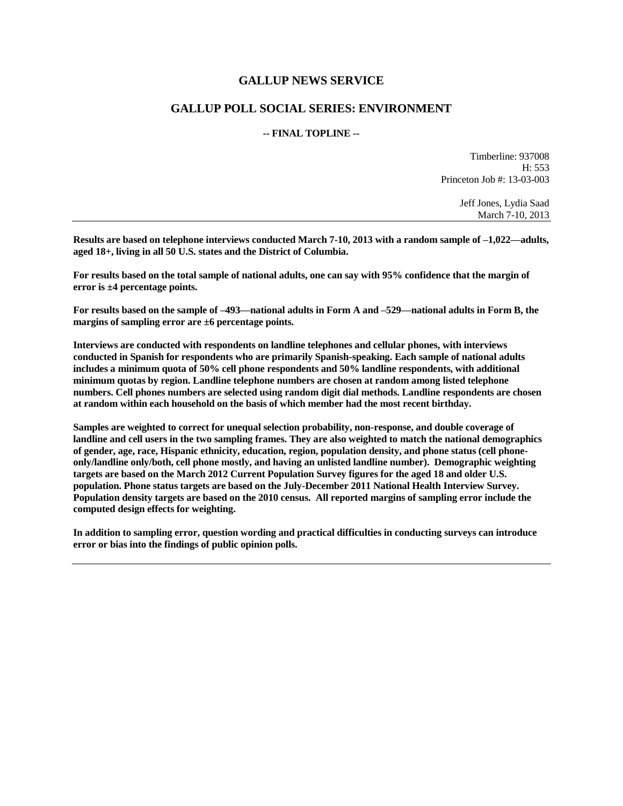### **GALLUP NEWS SERVICE**

### **GALLUP POLL SOCIAL SERIES: ENVIRONMENT**

#### **-- FINAL TOPLINE --**

Timberline: 937008 H: 553 Princeton Job #: 13-03-003

> Jeff Jones, Lydia Saad March 7-10, 2013

**Results are based on telephone interviews conducted March 7-10, 2013 with a random sample of –1,022—adults, aged 18+, living in all 50 U.S. states and the District of Columbia.** 

**For results based on the total sample of national adults, one can say with 95% confidence that the margin of error is ±4 percentage points.**

**For results based on the sample of –493—national adults in Form A and –529—national adults in Form B, the margins of sampling error are ±6 percentage points.**

**Interviews are conducted with respondents on landline telephones and cellular phones, with interviews conducted in Spanish for respondents who are primarily Spanish-speaking. Each sample of national adults includes a minimum quota of 50% cell phone respondents and 50% landline respondents, with additional minimum quotas by region. Landline telephone numbers are chosen at random among listed telephone numbers. Cell phones numbers are selected using random digit dial methods. Landline respondents are chosen at random within each household on the basis of which member had the most recent birthday.**

**Samples are weighted to correct for unequal selection probability, non-response, and double coverage of landline and cell users in the two sampling frames. They are also weighted to match the national demographics of gender, age, race, Hispanic ethnicity, education, region, population density, and phone status (cell phoneonly/landline only/both, cell phone mostly, and having an unlisted landline number). Demographic weighting targets are based on the March 2012 Current Population Survey figures for the aged 18 and older U.S. population. Phone status targets are based on the July-December 2011 National Health Interview Survey. Population density targets are based on the 2010 census. All reported margins of sampling error include the computed design effects for weighting.** 

**In addition to sampling error, question wording and practical difficulties in conducting surveys can introduce error or bias into the findings of public opinion polls.**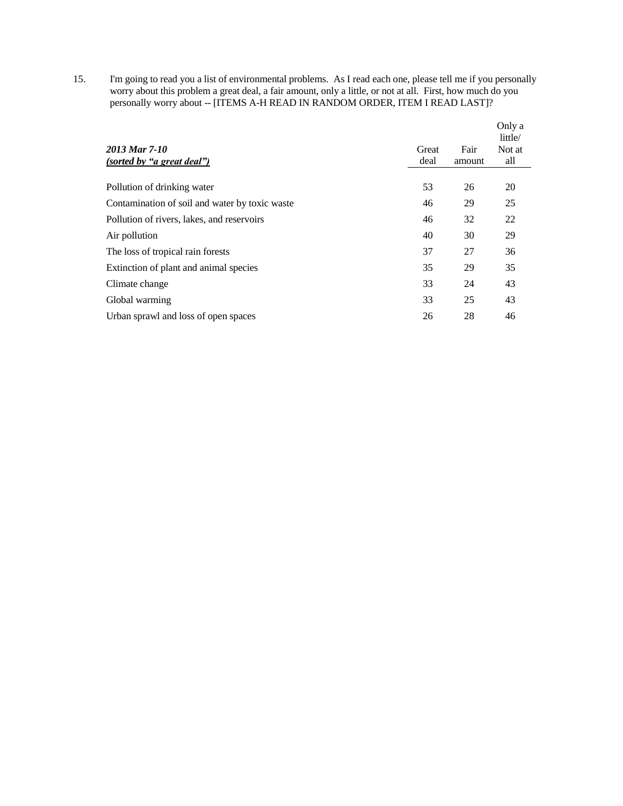15. I'm going to read you a list of environmental problems. As I read each one, please tell me if you personally worry about this problem a great deal, a fair amount, only a little, or not at all. First, how much do you personally worry about -- [ITEMS A-H READ IN RANDOM ORDER, ITEM I READ LAST]?

|                                                |       |        | Only a<br>little/ |
|------------------------------------------------|-------|--------|-------------------|
| 2013 Mar 7-10                                  | Great | Fair   | Not at            |
| (sorted by "a great deal")                     | deal  | amount | all               |
| Pollution of drinking water                    | 53    | 26     | 20                |
| Contamination of soil and water by toxic waste | 46    | 29     | 25                |
| Pollution of rivers, lakes, and reservoirs     | 46    | 32     | 22                |
| Air pollution                                  | 40    | 30     | 29                |
| The loss of tropical rain forests              | 37    | 27     | 36                |
| Extinction of plant and animal species         | 35    | 29     | 35                |
| Climate change                                 | 33    | 24     | 43                |
| Global warming                                 | 33    | 25     | 43                |
| Urban sprawl and loss of open spaces           | 26    | 28     | 46                |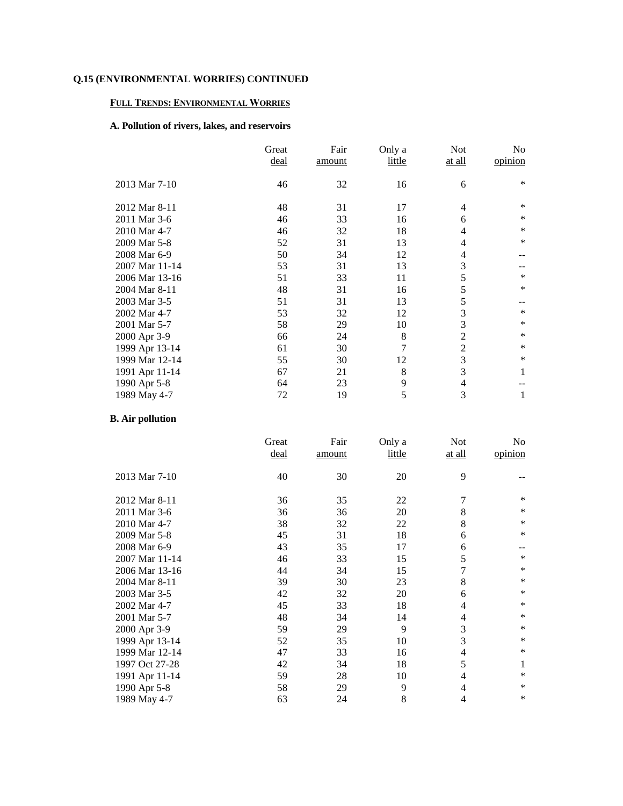### **FULL TRENDS: ENVIRONMENTAL WORRIES**

# **A. Pollution of rivers, lakes, and reservoirs**

|                | Great<br><u>deal</u> | Fair<br>amount | Only a<br>little | Not<br>at all  | No<br>opinion |
|----------------|----------------------|----------------|------------------|----------------|---------------|
| 2013 Mar 7-10  | 46                   | 32             | 16               | 6              | ∗             |
| 2012 Mar 8-11  | 48                   | 31             | 17               | 4              | $\ast$        |
| 2011 Mar 3-6   | 46                   | 33             | 16               | 6              | ∗             |
| 2010 Mar 4-7   | 46                   | 32             | 18               | 4              | $\ast$        |
| 2009 Mar 5-8   | 52                   | 31             | 13               | 4              | $\ast$        |
| 2008 Mar 6-9   | 50                   | 34             | 12               | 4              |               |
| 2007 Mar 11-14 | 53                   | 31             | 13               | 3              |               |
| 2006 Mar 13-16 | 51                   | 33             | 11               | 5              | $\ast$        |
| 2004 Mar 8-11  | 48                   | 31             | 16               | 5              | $\ast$        |
| 2003 Mar 3-5   | 51                   | 31             | 13               | 5              |               |
| 2002 Mar 4-7   | 53                   | 32             | 12               | 3              | $\ast$        |
| 2001 Mar 5-7   | 58                   | 29             | 10               | 3              | $\ast$        |
| 2000 Apr 3-9   | 66                   | 24             | 8                | $\overline{2}$ | $\ast$        |
| 1999 Apr 13-14 | 61                   | 30             | 7                | $\overline{2}$ | $\ast$        |
| 1999 Mar 12-14 | 55                   | 30             | 12               | 3              | $\ast$        |
| 1991 Apr 11-14 | 67                   | 21             | 8                | 3              | 1             |
| 1990 Apr 5-8   | 64                   | 23             | 9                | 4              |               |
| 1989 May 4-7   | 72                   | 19             | 5                | 3              | 1             |

# **B. Air pollution**

|                | Great | Fair   | Only a | Not           | No      |
|----------------|-------|--------|--------|---------------|---------|
|                | deal  | amount | little | <u>at all</u> | opinion |
|                |       |        |        |               |         |
| 2013 Mar 7-10  | 40    | 30     | 20     | 9             |         |
|                |       |        |        |               |         |
| 2012 Mar 8-11  | 36    | 35     | 22     | 7             | ∗       |
| 2011 Mar 3-6   | 36    | 36     | 20     | 8             | ∗       |
| 2010 Mar 4-7   | 38    | 32     | 22     | 8             | $\ast$  |
| 2009 Mar 5-8   | 45    | 31     | 18     | 6             | $\ast$  |
| 2008 Mar 6-9   | 43    | 35     | 17     | 6             | --      |
| 2007 Mar 11-14 | 46    | 33     | 15     | 5             | $\ast$  |
| 2006 Mar 13-16 | 44    | 34     | 15     | 7             | $\ast$  |
| 2004 Mar 8-11  | 39    | 30     | 23     | 8             | $\ast$  |
| 2003 Mar 3-5   | 42    | 32     | 20     | 6             | $\ast$  |
| 2002 Mar 4-7   | 45    | 33     | 18     | 4             | $\ast$  |
| 2001 Mar 5-7   | 48    | 34     | 14     | 4             | $\ast$  |
| 2000 Apr 3-9   | 59    | 29     | 9      | 3             | $\ast$  |
| 1999 Apr 13-14 | 52    | 35     | 10     | 3             | ∗       |
| 1999 Mar 12-14 | 47    | 33     | 16     | 4             | $\ast$  |
| 1997 Oct 27-28 | 42    | 34     | 18     | 5             | 1       |
| 1991 Apr 11-14 | 59    | 28     | 10     | 4             | ∗       |
| 1990 Apr 5-8   | 58    | 29     | 9      | 4             | ∗       |
| 1989 May 4-7   | 63    | 24     | 8      | 4             | $\ast$  |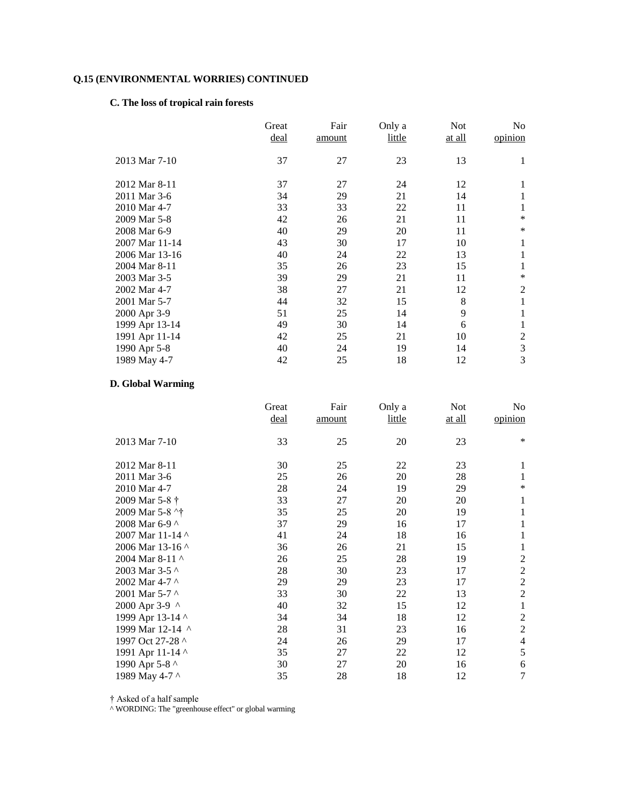### **C. The loss of tropical rain forests**

|                | Great<br>deal | Fair<br>amount | Only a<br>little | Not<br>at all | No<br>opinion  |
|----------------|---------------|----------------|------------------|---------------|----------------|
| 2013 Mar 7-10  | 37            | 27             | 23               | 13            | 1              |
| 2012 Mar 8-11  | 37            | 27             | 24               | 12            | 1              |
| 2011 Mar 3-6   | 34            | 29             | 21               | 14            |                |
| 2010 Mar 4-7   | 33            | 33             | 22               | 11            |                |
| 2009 Mar 5-8   | 42            | 26             | 21               | 11            | $\ast$         |
| 2008 Mar 6-9   | 40            | 29             | 20               | 11            | ∗              |
| 2007 Mar 11-14 | 43            | 30             | 17               | 10            | 1              |
| 2006 Mar 13-16 | 40            | 24             | 22               | 13            | 1              |
| 2004 Mar 8-11  | 35            | 26             | 23               | 15            |                |
| 2003 Mar 3-5   | 39            | 29             | 21               | 11            | $\ast$         |
| 2002 Mar 4-7   | 38            | 27             | 21               | 12            | 2              |
| 2001 Mar 5-7   | 44            | 32             | 15               | 8             | 1              |
| 2000 Apr 3-9   | 51            | 25             | 14               | 9             |                |
| 1999 Apr 13-14 | 49            | 30             | 14               | 6             |                |
| 1991 Apr 11-14 | 42            | 25             | 21               | 10            | $\overline{c}$ |
| 1990 Apr 5-8   | 40            | 24             | 19               | 14            | 3              |
| 1989 May 4-7   | 42            | 25             | 18               | 12            | 3              |

# **D. Global Warming**

|                  | Great | Fair   | Only a | <b>Not</b> | No               |
|------------------|-------|--------|--------|------------|------------------|
|                  | deal  | amount | little | at all     | opinion          |
| 2013 Mar 7-10    | 33    | 25     | 20     | 23         | $\ast$           |
| 2012 Mar 8-11    | 30    | 25     | 22     | 23         | 1                |
| 2011 Mar 3-6     | 25    | 26     | 20     | 28         | 1                |
| 2010 Mar 4-7     | 28    | 24     | 19     | 29         | $\ast$           |
| 2009 Mar 5-8 †   | 33    | 27     | 20     | 20         | 1                |
| 2009 Mar 5-8 ^†  | 35    | 25     | 20     | 19         | 1                |
| 2008 Mar 6-9 ^   | 37    | 29     | 16     | 17         | 1                |
| 2007 Mar 11-14 ^ | 41    | 24     | 18     | 16         | 1                |
| 2006 Mar 13-16 ^ | 36    | 26     | 21     | 15         | 1                |
| 2004 Mar 8-11 ^  | 26    | 25     | 28     | 19         | $\overline{c}$   |
| 2003 Mar 3-5 ^   | 28    | 30     | 23     | 17         | $\boldsymbol{2}$ |
| 2002 Mar 4-7 ^   | 29    | 29     | 23     | 17         | $\mathfrak{2}$   |
| 2001 Mar 5-7 ^   | 33    | 30     | 22     | 13         | $\overline{2}$   |
| 2000 Apr 3-9 ^   | 40    | 32     | 15     | 12         | 1                |
| 1999 Apr 13-14 ^ | 34    | 34     | 18     | 12         | $\overline{2}$   |
| 1999 Mar 12-14 ^ | 28    | 31     | 23     | 16         | $\mathfrak{2}$   |
| 1997 Oct 27-28 ^ | 24    | 26     | 29     | 17         | $\overline{4}$   |
| 1991 Apr 11-14 ^ | 35    | 27     | 22     | 12         | 5                |
| 1990 Apr 5-8 ^   | 30    | 27     | 20     | 16         | 6                |
| 1989 May 4-7 ^   | 35    | 28     | 18     | 12         | 7                |

† Asked of a half sample

^ WORDING: The "greenhouse effect" or global warming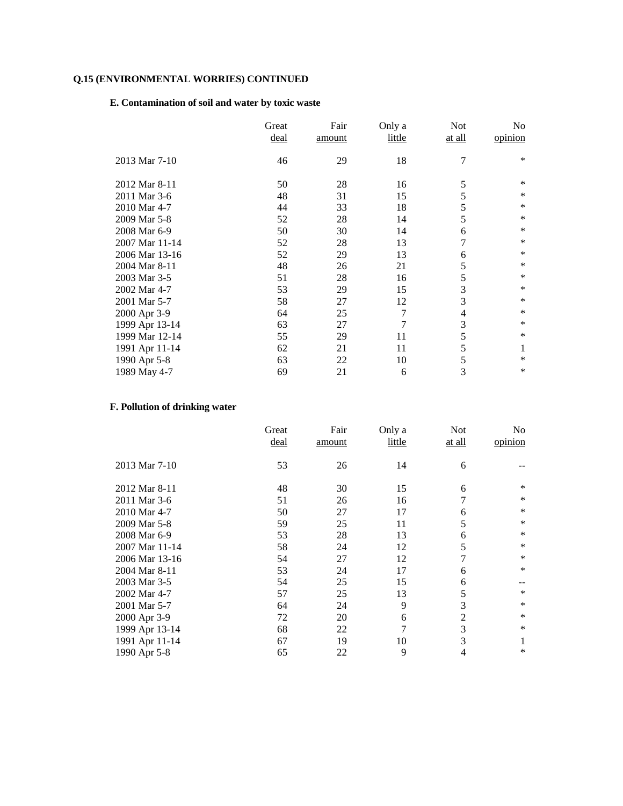# **E. Contamination of soil and water by toxic waste**

|                | Great | Fair   | Only a | <b>Not</b>    | No      |
|----------------|-------|--------|--------|---------------|---------|
|                | deal  | amount | little | <u>at all</u> | opinion |
|                |       |        |        |               |         |
| 2013 Mar 7-10  | 46    | 29     | 18     | 7             | $\ast$  |
|                |       |        |        |               |         |
| 2012 Mar 8-11  | 50    | 28     | 16     | 5             | ∗       |
| 2011 Mar 3-6   | 48    | 31     | 15     | 5             | *       |
| 2010 Mar 4-7   | 44    | 33     | 18     | 5             | $\ast$  |
| 2009 Mar 5-8   | 52    | 28     | 14     | 5             | $\ast$  |
| 2008 Mar 6-9   | 50    | 30     | 14     | 6             | *       |
| 2007 Mar 11-14 | 52    | 28     | 13     | 7             | $\ast$  |
| 2006 Mar 13-16 | 52    | 29     | 13     | 6             | ∗       |
| 2004 Mar 8-11  | 48    | 26     | 21     | 5             | $\ast$  |
| 2003 Mar 3-5   | 51    | 28     | 16     | 5             | $\ast$  |
| 2002 Mar 4-7   | 53    | 29     | 15     | 3             | *       |
| 2001 Mar 5-7   | 58    | 27     | 12     | 3             | $\ast$  |
| 2000 Apr 3-9   | 64    | 25     | 7      | 4             | $\ast$  |
| 1999 Apr 13-14 | 63    | 27     | 7      | 3             | $\ast$  |
| 1999 Mar 12-14 | 55    | 29     | 11     | 5             | $\ast$  |
| 1991 Apr 11-14 | 62    | 21     | 11     | 5             | 1       |
| 1990 Apr 5-8   | 63    | 22     | 10     | 5             | $\ast$  |
| 1989 May 4-7   | 69    | 21     | 6      | 3             | ∗       |

# **F. Pollution of drinking water**

|                | Great       | Fair   | Only a | <b>Not</b>    | No      |
|----------------|-------------|--------|--------|---------------|---------|
|                | <u>deal</u> | amount | little | <u>at all</u> | opinion |
|                |             |        |        |               |         |
| 2013 Mar 7-10  | 53          | 26     | 14     | 6             |         |
|                |             |        |        |               |         |
| 2012 Mar 8-11  | 48          | 30     | 15     | 6             | *       |
| 2011 Mar 3-6   | 51          | 26     | 16     |               | ∗       |
| 2010 Mar 4-7   | 50          | 27     | 17     | 6             | $\ast$  |
| 2009 Mar 5-8   | 59          | 25     | 11     | 5             | $\ast$  |
| 2008 Mar 6-9   | 53          | 28     | 13     | 6             | $\ast$  |
| 2007 Mar 11-14 | 58          | 24     | 12     | 5             | $\ast$  |
| 2006 Mar 13-16 | 54          | 27     | 12     | 7             | $\ast$  |
| 2004 Mar 8-11  | 53          | 24     | 17     | 6             | $\ast$  |
| 2003 Mar 3-5   | 54          | 25     | 15     | 6             |         |
| 2002 Mar 4-7   | 57          | 25     | 13     | 5             | $\ast$  |
| 2001 Mar 5-7   | 64          | 24     | 9      | 3             | *       |
| 2000 Apr 3-9   | 72          | 20     | 6      | 2             | ∗       |
| 1999 Apr 13-14 | 68          | 22     | 7      | 3             | $\ast$  |
| 1991 Apr 11-14 | 67          | 19     | 10     | 3             |         |
| 1990 Apr 5-8   | 65          | 22     | 9      | 4             | *       |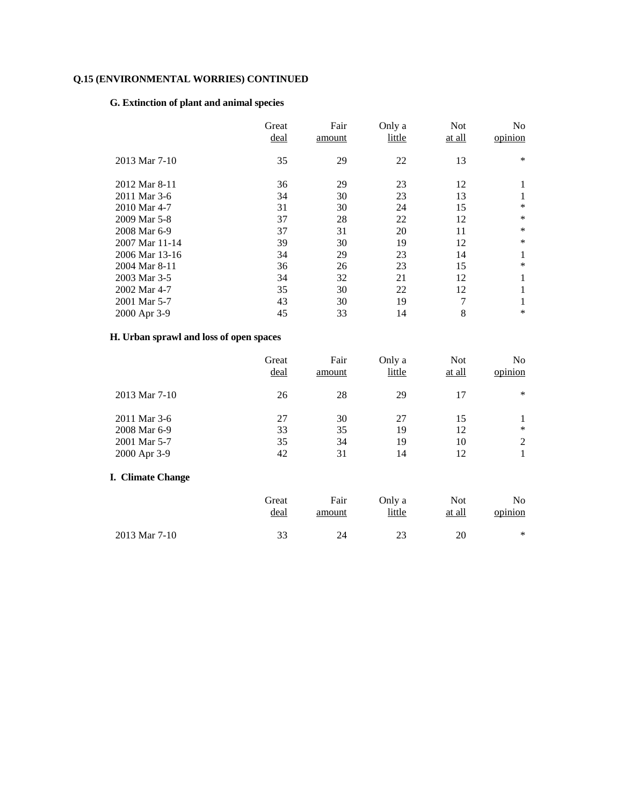### **G. Extinction of plant and animal species**

|                | Great<br>deal | Fair<br>amount | Only a<br>little | <b>Not</b><br>at all | N <sub>o</sub><br>opinion |
|----------------|---------------|----------------|------------------|----------------------|---------------------------|
| 2013 Mar 7-10  | 35            | 29             | 22               | 13                   | ∗                         |
| 2012 Mar 8-11  | 36            | 29             | 23               | 12                   |                           |
| 2011 Mar 3-6   | 34            | 30             | 23               | 13                   |                           |
| 2010 Mar 4-7   | 31            | 30             | 24               | 15                   | $\ast$                    |
| 2009 Mar 5-8   | 37            | 28             | 22               | 12                   | ∗                         |
| 2008 Mar 6-9   | 37            | 31             | 20               | 11                   | $\ast$                    |
| 2007 Mar 11-14 | 39            | 30             | 19               | 12                   | $\ast$                    |
| 2006 Mar 13-16 | 34            | 29             | 23               | 14                   | 1                         |
| 2004 Mar 8-11  | 36            | 26             | 23               | 15                   | $\ast$                    |
| 2003 Mar 3-5   | 34            | 32             | 21               | 12                   | 1                         |
| 2002 Mar 4-7   | 35            | 30             | 22               | 12                   |                           |
| 2001 Mar 5-7   | 43            | 30             | 19               | 7                    |                           |
| 2000 Apr 3-9   | 45            | 33             | 14               | 8                    | *                         |

# **H. Urban sprawl and loss of open spaces**

|                          | Great<br>deal | Fair<br>amount | Only a<br>little | <b>Not</b><br>at all | No.<br>opinion |
|--------------------------|---------------|----------------|------------------|----------------------|----------------|
| 2013 Mar 7-10            | 26            | 28             | 29               | 17                   | $\ast$         |
| 2011 Mar 3-6             | 27            | 30             | 27               | 15                   | 1              |
| 2008 Mar 6-9             | 33            | 35             | 19               | 12                   | $\ast$         |
| 2001 Mar 5-7             | 35            | 34             | 19               | 10                   | 2              |
| 2000 Apr 3-9             | 42            | 31             | 14               | 12                   | 1              |
| <b>I. Climate Change</b> |               |                |                  |                      |                |
|                          | Great         | Fair           | Only a           | <b>Not</b>           | No.            |
|                          | deal          | amount         | little           | at all               | opinion        |

2013 Mar 7-10 33 24 23 20 \*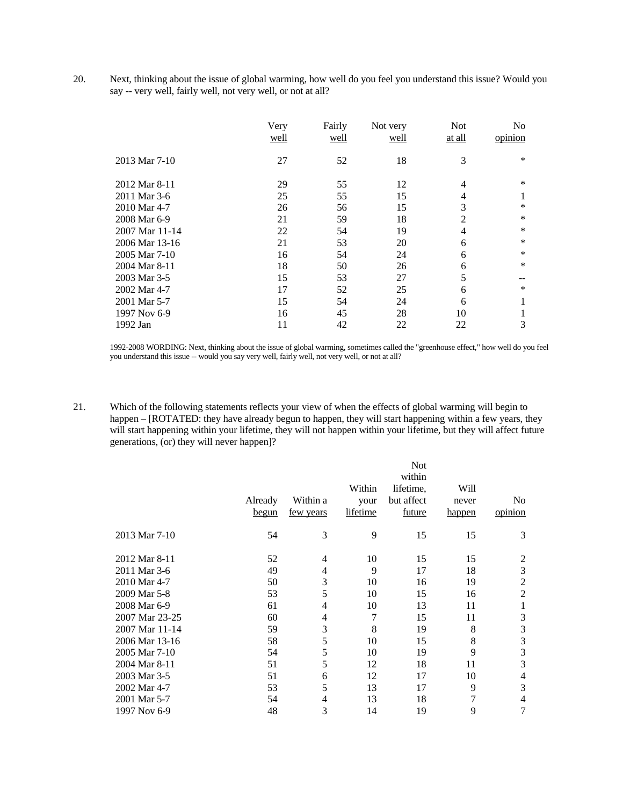20. Next, thinking about the issue of global warming, how well do you feel you understand this issue? Would you say -- very well, fairly well, not very well, or not at all?

|                | Very<br>well | Fairly<br>well | Not very<br>well | Not<br>at all  | N <sub>0</sub><br>opinion |
|----------------|--------------|----------------|------------------|----------------|---------------------------|
| 2013 Mar 7-10  | 27           | 52             | 18               | 3              | *                         |
| 2012 Mar 8-11  | 29           | 55             | 12               | 4              | *                         |
| 2011 Mar 3-6   | 25           | 55             | 15               | 4              |                           |
| 2010 Mar 4-7   | 26           | 56             | 15               | 3              | *                         |
| 2008 Mar 6-9   | 21           | 59             | 18               | $\overline{2}$ | *                         |
| 2007 Mar 11-14 | 22           | 54             | 19               | $\overline{4}$ | *                         |
| 2006 Mar 13-16 | 21           | 53             | 20               | 6              | *                         |
| 2005 Mar 7-10  | 16           | 54             | 24               | 6              | *                         |
| 2004 Mar 8-11  | 18           | 50             | 26               | 6              | *                         |
| 2003 Mar 3-5   | 15           | 53             | 27               | 5              |                           |
| 2002 Mar 4-7   | 17           | 52             | 25               | 6              | *                         |
| 2001 Mar 5-7   | 15           | 54             | 24               | 6              |                           |
| 1997 Nov 6-9   | 16           | 45             | 28               | 10             |                           |
| 1992 Jan       | 11           | 42             | 22               | 22             | 3                         |

1992-2008 WORDING: Next, thinking about the issue of global warming, sometimes called the "greenhouse effect," how well do you feel you understand this issue -- would you say very well, fairly well, not very well, or not at all?

21. Which of the following statements reflects your view of when the effects of global warming will begin to happen – [ROTATED: they have already begun to happen, they will start happening within a few years, they will start happening within your lifetime, they will not happen within your lifetime, but they will affect future generations, (or) they will never happen]?

|                |              |           |                 | <b>Not</b> |        |                |
|----------------|--------------|-----------|-----------------|------------|--------|----------------|
|                |              |           |                 | within     |        |                |
|                |              |           | Within          | lifetime,  | Will   |                |
|                | Already      | Within a  | your            | but affect | never  | N <sub>0</sub> |
|                | <u>begun</u> | few years | <i>lifetime</i> | future     | happen | opinion        |
| 2013 Mar 7-10  | 54           | 3         | 9               | 15         | 15     | 3              |
| 2012 Mar 8-11  | 52           | 4         | 10              | 15         | 15     | $\overline{2}$ |
| 2011 Mar 3-6   | 49           | 4         | 9               | 17         | 18     | 3              |
| 2010 Mar 4-7   | 50           | 3         | 10              | 16         | 19     | $\overline{2}$ |
| 2009 Mar 5-8   | 53           | 5         | 10              | 15         | 16     | $\overline{2}$ |
| 2008 Mar 6-9   | 61           | 4         | 10              | 13         | 11     | 1              |
| 2007 Mar 23-25 | 60           | 4         | 7               | 15         | 11     | 3              |
| 2007 Mar 11-14 | 59           | 3         | 8               | 19         | 8      | 3              |
| 2006 Mar 13-16 | 58           | 5         | 10              | 15         | 8      | 3              |
| 2005 Mar 7-10  | 54           | 5         | 10              | 19         | 9      | 3              |
| 2004 Mar 8-11  | 51           | 5         | 12              | 18         | 11     | 3              |
| 2003 Mar 3-5   | 51           | 6         | 12              | 17         | 10     | 4              |
| 2002 Mar 4-7   | 53           | 5         | 13              | 17         | 9      | 3              |
| 2001 Mar 5-7   | 54           | 4         | 13              | 18         | 7      | 4              |
| 1997 Nov 6-9   | 48           | 3         | 14              | 19         | 9      | 7              |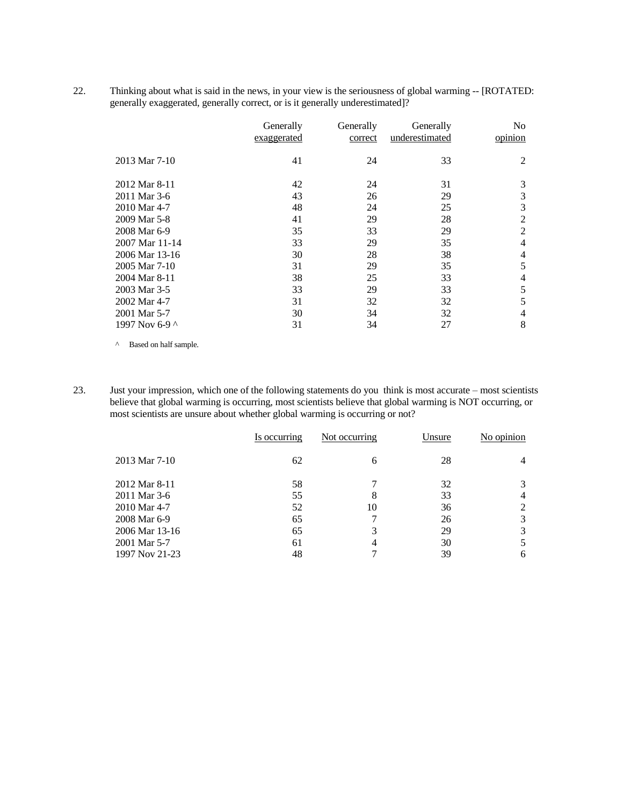22. Thinking about what is said in the news, in your view is the seriousness of global warming -- [ROTATED: generally exaggerated, generally correct, or is it generally underestimated]?

|                | Generally<br>exaggerated | Generally<br>correct | Generally<br>underestimated | N <sub>0</sub><br>opinion |
|----------------|--------------------------|----------------------|-----------------------------|---------------------------|
| 2013 Mar 7-10  | 41                       | 24                   | 33                          | 2                         |
| 2012 Mar 8-11  | 42                       | 24                   | 31                          | 3                         |
| 2011 Mar 3-6   | 43                       | 26                   | 29                          | 3                         |
| 2010 Mar 4-7   | 48                       | 24                   | 25                          | 3                         |
| 2009 Mar 5-8   | 41                       | 29                   | 28                          | 2                         |
| 2008 Mar 6-9   | 35                       | 33                   | 29                          | 2                         |
| 2007 Mar 11-14 | 33                       | 29                   | 35                          | 4                         |
| 2006 Mar 13-16 | 30                       | 28                   | 38                          | 4                         |
| 2005 Mar 7-10  | 31                       | 29                   | 35                          | 5                         |
| 2004 Mar 8-11  | 38                       | 25                   | 33                          | 4                         |
| 2003 Mar 3-5   | 33                       | 29                   | 33                          | 5                         |
| 2002 Mar 4-7   | 31                       | 32                   | 32                          | 5                         |
| 2001 Mar 5-7   | 30                       | 34                   | 32                          | 4                         |
| 1997 Nov 6-9 ^ | 31                       | 34                   | 27                          | 8                         |

^ Based on half sample.

23. Just your impression, which one of the following statements do you think is most accurate – most scientists believe that global warming is occurring, most scientists believe that global warming is NOT occurring, or most scientists are unsure about whether global warming is occurring or not?

| Is occurring | Not occurring | Unsure | No opinion |
|--------------|---------------|--------|------------|
| 62           | 6             | 28     | 4          |
| 58           |               | 32     |            |
| 55           | 8             | 33     | 4          |
| 52           | 10            | 36     | 2          |
| 65           |               | 26     | 3          |
| 65           | 3             | 29     | 3          |
| 61           | 4             | 30     |            |
| 48           |               | 39     | 6          |
|              |               |        |            |